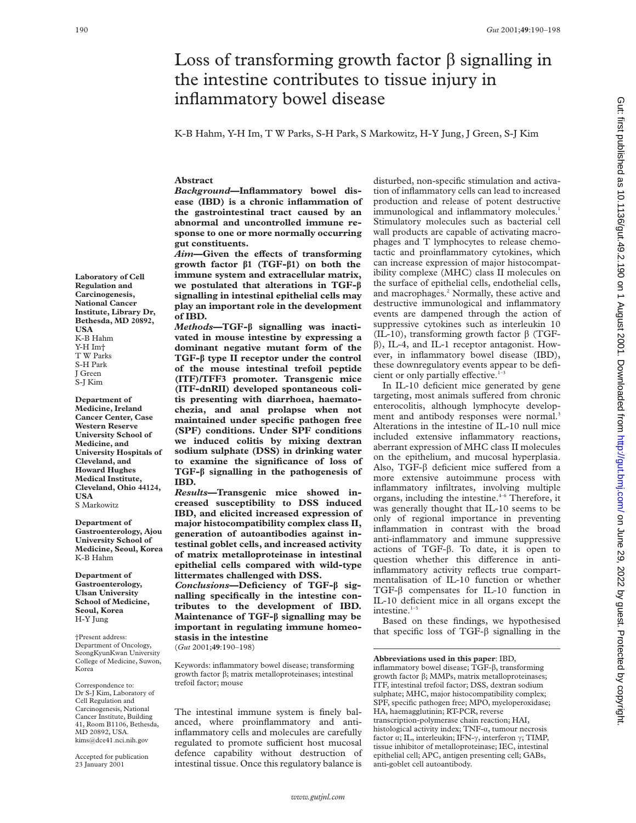# Loss of transforming growth factor  $\beta$  signalling in the intestine contributes to tissue injury in inflammatory bowel disease

K-B Hahm, Y-H Im, T W Parks, S-H Park, S Markowitz, H-Y Jung, J Green, S-J Kim

#### **Abstract**

*Background***—Inflammatory bowel disease (IBD) is a chronic inflammation of the gastrointestinal tract caused by an abnormal and uncontrolled immune response to one or more normally occurring gut constituents.**

*Aim*—Given the effects of transforming **growth factor â1 (TGF-â1) on both the immune system and extracellular matrix, we postulated that alterations in TGF-â signalling in intestinal epithelial cells may play an important role in the development of IBD.**

*Methods***—TGF-â signalling was inactivated in mouse intestine by expressing a dominant negative mutant form of the TGF-â type II receptor under the control of the mouse intestinal trefoil peptide (ITF)/TFF3 promoter. Transgenic mice (ITF-dnRII) developed spontaneous colitis presenting with diarrhoea, haematochezia, and anal prolapse when not maintained under specific pathogen free (SPF) conditions. Under SPF conditions we induced colitis by mixing dextran sodium sulphate (DSS) in drinking water to examine the significance of loss of TGF-â signalling in the pathogenesis of IBD.**

*Results***—Transgenic mice showed increased susceptibility to DSS induced IBD, and elicited increased expression of major histocompatibility complex class II, generation of autoantibodies against intestinal goblet cells, and increased activity of matrix metalloproteinase in intestinal epithelial cells compared with wild-type littermates challenged with DSS.** *Conclusions***—Deficiency of TGF-â signalling specifically in the intestine con-**

**tributes to the development of IBD. Maintenance of TGF-â signalling may be important in regulating immune homeostasis in the intestine** (*Gut* 2001;**49**:190–198)

Keywords: inflammatory bowel disease; transforming growth factor  $\beta$ ; matrix metalloproteinases; intestinal trefoil factor; mouse

The intestinal immune system is finely balanced, where proinflammatory and antiinflammatory cells and molecules are carefully regulated to promote sufficient host mucosal defence capability without destruction of intestinal tissue. Once this regulatory balance is

disturbed, non-specific stimulation and activation of inflammatory cells can lead to increased production and release of potent destructive immunological and inflammatory molecules.<sup>1</sup> Stimulatory molecules such as bacterial cell wall products are capable of activating macrophages and T lymphocytes to release chemotactic and proinflammatory cytokines, which can increase expression of major histocompatibility complexe (MHC) class II molecules on the surface of epithelial cells, endothelial cells, and macrophages.2 Normally, these active and destructive immunological and inflammatory events are dampened through the action of suppressive cytokines such as interleukin 10 (IL-10), transforming growth factor  $\beta$  (TGF- $\beta$ ), IL-4, and IL-1 receptor antagonist. However, in inflammatory bowel disease (IBD), these downregulatory events appear to be deficient or only partially effective.<sup>1</sup>

In IL-10 deficient mice generated by gene targeting, most animals suffered from chronic enterocolitis, although lymphocyte development and antibody responses were normal.<sup>3</sup> Alterations in the intestine of IL-10 null mice included extensive inflammatory reactions, aberrant expression of MHC class II molecules on the epithelium, and mucosal hyperplasia. Also, TGF- $\beta$  deficient mice suffered from a more extensive autoimmune process with inflammatory infiltrates, involving multiple organs, including the intestine.<sup>4-6</sup> Therefore, it was generally thought that IL-10 seems to be only of regional importance in preventing inflammation in contrast with the broad anti-inflammatory and immune suppressive actions of TGF- $\beta$ . To date, it is open to question whether this difference in antiinflammatory activity reflects true compartmentalisation of IL-10 function or whether TGF-â compensates for IL-10 function in IL-10 deficient mice in all organs except the intestine. $1-3$ 

Based on these findings, we hypothesised that specific loss of TGF- $\beta$  signalling in the Gut: first published as 10.1136/gut.49.2.190 on 1 August 2001. Downloaded from http://gut.bmj.com/ on June 29, 2022 by guest. Protected by copyright on June 29, 2022 by guest. Protected by copyright. <http://gut.bmj.com/> Gut: first published as 10.1136/gut.49.2.190 on 1 August 2001. Downloaded from

**Laboratory of Cell Regulation and Carcinogenesis, National Cancer Institute, Library Dr, Bethesda, MD 20892, USA** K-B Hahm Y-H Im† T W Parks S-H Park J Green S-J Kim

**Department of Medicine, Ireland Cancer Center, Case Western Reserve University School of Medicine, and University Hospitals of Cleveland, and Howard Hughes Medical Institute, Cleveland, Ohio 44124, USA** S Markowitz

**Department of Gastroenterology, Ajou University School of Medicine, Seoul, Korea** K-B Hahm

**Department of Gastroenterology, Ulsan University School of Medicine, Seoul, Korea** H-Y Jung

†Present address: Department of Oncology, SeongKyunKwan University College of Medicine, Suwon, Korea

Correspondence to: Dr S-J Kim, Laboratory of Cell Regulation and Carcinogenesis, National Cancer Institute, Building 41, Room B1106, Bethesda, MD 20892, USA. kims@dce41.nci.nih.gov

Accepted for publication 23 January 2001

**Abbreviations used in this paper**: IBD, inflammatory bowel disease; TGF- $\beta$ , transforming growth factor  $\beta$ ; MMPs, matrix metalloproteinases; ITF, intestinal trefoil factor; DSS, dextran sodium sulphate; MHC, major histocompatibility complex; SPF, specific pathogen free; MPO, myeloperoxidase; HA, haemagglutinin; RT-PCR, reverse transcription-polymerase chain reaction; HAI, histological activity index;  $TNF-\alpha$ , tumour necrosis factor  $\alpha$ ; IL, interleukin; IFN- $\gamma$ , interferon  $\gamma$ ; TIMP, tissue inhibitor of metalloproteinase; IEC, intestinal epithelial cell; APC, antigen presenting cell; GABs, anti-goblet cell autoantibody.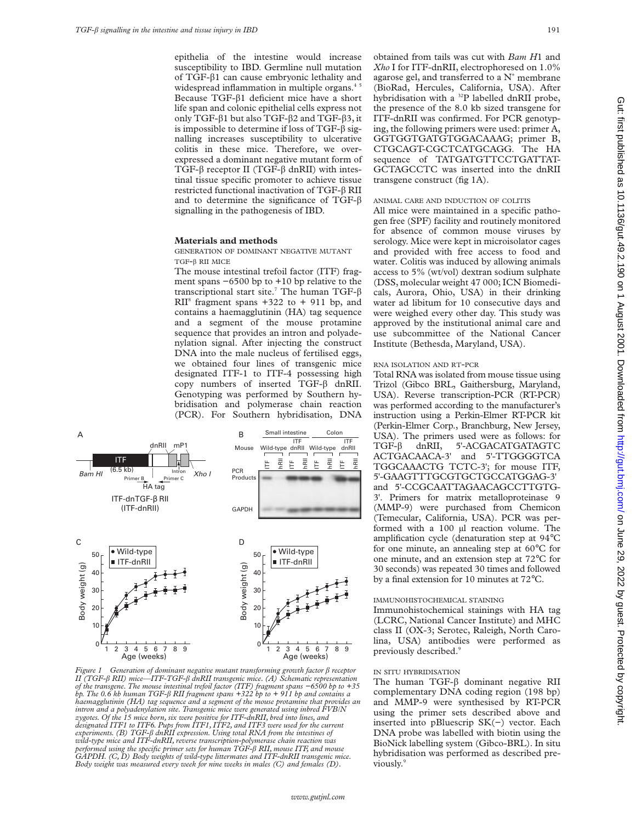epithelia of the intestine would increase susceptibility to IBD. Germline null mutation of TGF-â1 can cause embryonic lethality and widespread inflammation in multiple organs.<sup>45</sup> Because TGF- $\beta$ 1 deficient mice have a short life span and colonic epithelial cells express not only TGF- $\beta$ 1 but also TGF- $\beta$ 2 and TGF- $\beta$ 3, it is impossible to determine if loss of TGF- $\beta$  signalling increases susceptibility to ulcerative colitis in these mice. Therefore, we overexpressed a dominant negative mutant form of TGF- $\beta$  receptor II (TGF- $\beta$  dnRII) with intestinal tissue specific promoter to achieve tissue restricted functional inactivation of  $TGF-\beta RH$ and to determine the significance of TGF- $\beta$ signalling in the pathogenesis of IBD.

#### **Materials and methods**

GENERATION OF DOMINANT NEGATIVE MUTANT TGF-â RII MICE

The mouse intestinal trefoil factor (ITF) fragment spans −6500 bp to +10 bp relative to the transcriptional start site.<sup>7</sup> The human TGF- $\beta$  $RII<sup>8</sup>$  fragment spans +322 to + 911 bp, and contains a haemagglutinin (HA) tag sequence and a segment of the mouse protamine sequence that provides an intron and polyadenylation signal. After injecting the construct DNA into the male nucleus of fertilised eggs, we obtained four lines of transgenic mice designated ITF-1 to ITF-4 possessing high copy numbers of inserted  $TGF-\beta$  dnRII. Genotyping was performed by Southern hybridisation and polymerase chain reaction (PCR). For Southern hybridisation, DNA



*Figure 1 Generation of dominant negative mutant transforming growth factor* â *receptor II (TGF-*â *RII) mice—ITF-TGF-*â *dnRII transgenic mice. (A) Schematic representation of the transgene. The mouse intestinal trefoil factor (ITF) fragment spans −6500 bp to +35 bp. The 0.6 kb human TGF-*â *RII fragment spans +322 bp to + 911 bp and contains a haemagglutinin (HA) tag sequence and a segment of the mouse protamine that provides an intron and a polyadenylation site. Transgenic mice were generated using inbred FVB/N* zygotes. Of the 15 mice born, six were positive for ITF-dnRII, bred into lines, and<br>designated ITF1 to ITF6. Pups from ITF1, ITF2, and ITF3 were used for the current<br>experiments. (B) TGF-β dnRII expression. Using total RN *wild-type mice and ITF-dnRII, reverse transcription-polymerase chain reaction was performed using the specific primer sets for human TGF-*â *RII, mouse ITF, and mouse GAPDH. (C, D) Body weights of wild-type littermates and ITF-dnRII transgenic mice. Body weight was measured every week for nine weeks in males (C) and females (D).*

obtained from tails was cut with *Bam H*1 and *Xho* I for ITF-dnRII, electrophoresed on 1.0% agarose gel, and transferred to a  $N^+$  membrane (BioRad, Hercules, California, USA). After hybridisation with a <sup>32</sup>P labelled dnRII probe, the presence of the 8.0 kb sized transgene for ITF-dnRII was confirmed. For PCR genotyping, the following primers were used: primer A, GGTGGTGATGTGGACAAAG; primer B, CTGCAGT-CGCTCATGCAGG. The HA sequence of TATGATGTTCCTGATTAT-GCTAGCCTC was inserted into the dnRII transgene construct (fig 1A).

## ANIMAL CARE AND INDUCTION OF COLITIS

All mice were maintained in a specific pathogen free (SPF) facility and routinely monitored for absence of common mouse viruses by serology. Mice were kept in microisolator cages and provided with free access to food and water. Colitis was induced by allowing animals access to 5% (wt/vol) dextran sodium sulphate (DSS, molecular weight 47 000; ICN Biomedicals, Aurora, Ohio, USA) in their drinking water ad libitum for 10 consecutive days and were weighed every other day. This study was approved by the institutional animal care and use subcommittee of the National Cancer Institute (Bethesda, Maryland, USA).

## RNA ISOLATION AND RT-PCR

Total RNA was isolated from mouse tissue using Trizol (Gibco BRL, Gaithersburg, Maryland, USA). Reverse transcription-PCR (RT-PCR) was performed according to the manufacturer's instruction using a Perkin-Elmer RT-PCR kit (Perkin-Elmer Corp., Branchburg, New Jersey, USA). The primers used were as follows: for TGF- $\beta$  dnRII, 5'-ACGACATGATAGTC ACTGACAACA-3' and 5'-TTGGGGTCA TGGCAAACTG TCTC-3'; for mouse ITF, 5'-GAAGTTTGCGTGCTGCCATGGAG-3' and 5'-CCGCAATTAGAACAGCCTTGTG-3'. Primers for matrix metalloproteinase 9 (MMP-9) were purchased from Chemicon (Temecular, California, USA). PCR was performed with a 100 µl reaction volume. The amplification cycle (denaturation step at 94°C for one minute, an annealing step at 60°C for one minute, and an extension step at 72°C for 30 seconds) was repeated 30 times and followed by a final extension for 10 minutes at 72°C.

# IMMUNOHISTOCHEMICAL STAINING

Immunohistochemical stainings with HA tag (LCRC, National Cancer Institute) and MHC class II (OX-3; Serotec, Raleigh, North Carolina, USA) antibodies were performed as previously described.<sup>9</sup>

#### IN SITU HYBRIDISATION

The human  $TGF- $\beta$  dominant negative RH$ complementary DNA coding region (198 bp) and MMP-9 were synthesised by RT-PCR using the primer sets described above and inserted into pBluescrip SK(−) vector. Each DNA probe was labelled with biotin using the BioNick labelling system (Gibco-BRL). In situ hybridisation was performed as described previously.9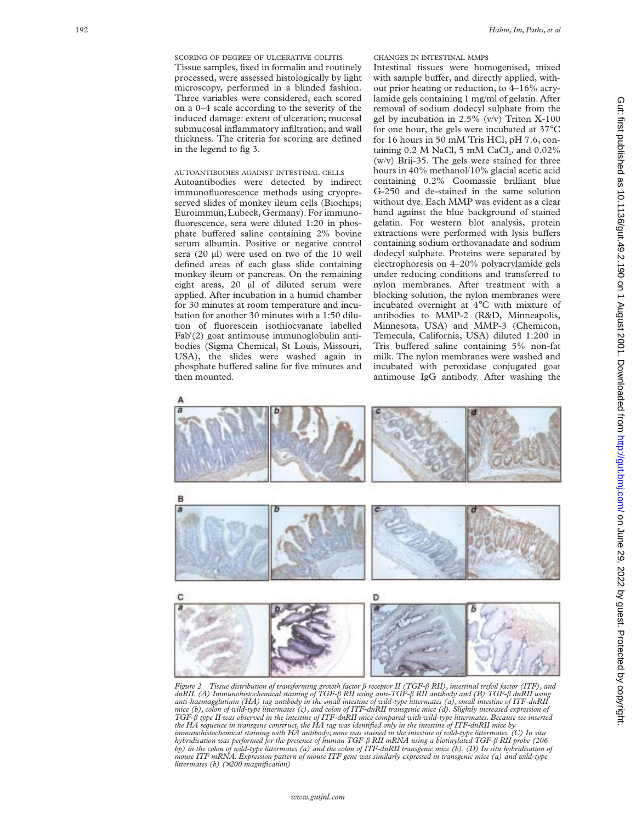# AUTOANTIBODIES AGAINST INTESTINAL CELLS

Autoantibodies were detected by indirect immunofluorescence methods using cryopreserved slides of monkey ileum cells (Biochips; Euroimmun, Lubeck, Germany). For immunofluorescence, sera were diluted 1:20 in phosphate buffered saline containing 2% bovine serum albumin. Positive or negative control sera (20 µl) were used on two of the 10 well defined areas of each glass slide containing monkey ileum or pancreas. On the remaining eight areas, 20 µl of diluted serum were applied. After incubation in a humid chamber for 30 minutes at room temperature and incubation for another 30 minutes with a 1:50 dilution of fluorescein isothiocyanate labelled Fab'(2) goat antimouse immunoglobulin antibodies (Sigma Chemical, St Louis, Missouri, USA), the slides were washed again in phosphate buffered saline for five minutes and then mounted.



Intestinal tissues were homogenised, mixed with sample buffer, and directly applied, without prior heating or reduction, to 4–16% acrylamide gels containing 1 mg/ml of gelatin. After removal of sodium dodecyl sulphate from the gel by incubation in 2.5% (v/v) Triton X-100 for one hour, the gels were incubated at 37°C for 16 hours in 50 mM Tris HCl, pH 7.6, containing  $0.2$  M NaCl, 5 mM CaCl<sub>2</sub>, and  $0.02\%$ (w/v) Brij-35. The gels were stained for three hours in 40% methanol/10% glacial acetic acid containing 0.2% Coomassie brilliant blue G-250 and de-stained in the same solution without dye. Each MMP was evident as a clear band against the blue background of stained gelatin. For western blot analysis, protein extractions were performed with lysis buffers containing sodium orthovanadate and sodium dodecyl sulphate. Proteins were separated by electrophoresis on 4–20% polyacrylamide gels under reducing conditions and transferred to nylon membranes. After treatment with a blocking solution, the nylon membranes were incubated overnight at 4 °C with mixture of antibodies to MMP-2 (R&D, Minneapolis, Minnesota, USA) and MMP-3 (Chemicon, Temecula, California, USA) diluted 1:200 in Tris buffered saline containing 5% non-fat milk. The nylon membranes were washed and incubated with peroxidase conjugated goat antimouse IgG antibody. After washing the



Figure 2 Tissue distribution of transforming growth factor β receptor II (TGF-β RII), intestinal trefoil factor (ITF), and<br>dnRII. (A) Immunohistochemical staining of TGF-β RII using anti-TGF-β RII antibody and (B) TGF-β d *anti-haemagglutinin (HA) tag antibody in the small intestine of wild-type littermates (a), small intestine of ITF-dnRII mice (b), colon of wild-type littermates (c), and colon of ITF-dnRII transgenic mice (d). Slightly increased expression of TGF-*â *type II was observed in the intestine of ITF-dnRII mice compared with wild-type littermates. Because we inserted* the HA sequence in transgene construct, the HA tag was identified only in the intestine of ITF-dnRII mice by<br>immunohistochemical staining with HA antibody; none was stained in the intestine of wild-type littermates. (C) In *hybridisation was performed for the presence of human TGF-*â *RII mRNA using a biotinylated TGF-*â *RII probe (206 bp) in the colon of wild-type littermates (a) and the colon of ITF-dnRII transgenic mice (b). (D) In situ hybridisation of mouse ITF mRNA. Expression pattern of mouse ITF gene was similarly expressed in transgenic mice (a) and wild-type littermates (b) (*×*200 magnification)*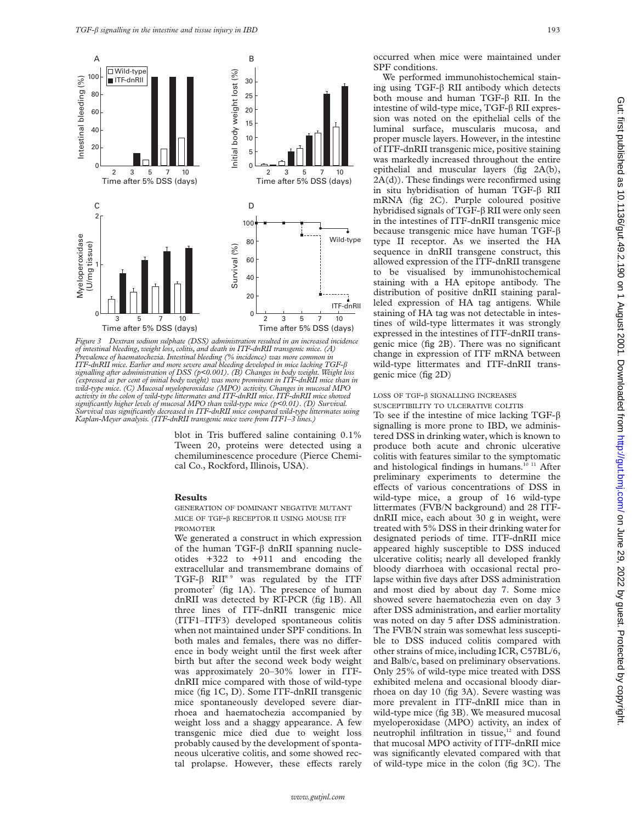

*Figure 3 Dextran sodium sulphate (DSS) administration resulted in an increased incidence of intestinal bleeding, weight loss, colitis, and death in ITF-dnRII transgenic mice. (A) Prevalence of haematochezia. Intestinal bleeding (% incidence) was more common in ITF-dnRII mice. Earlier and more severe anal bleeding developed in mice lacking TGF-*â *signalling after administration of DSS (p<0.001). (B) Changes in body weight.Weight loss (expressed as per cent of initial body weight) was more prominent in ITF-dnRII mice than in wild-type mice. (C) Mucosal myeloperoxidase (MPO) activity. Changes in mucosal MPO activity in the colon of wild-type littermates and ITF-dnRII mice. ITF-dnRII mice showed significantly higher levels of mucosal MPO than wild-type mice (p<0.01). (D) Survival. Survival was significantly decreased in ITF-dnRII mice compared wild-type littermates using Kaplan-Meyer analysis. (ITF-dnRII transgenic mice were from ITF1–3 lines.)*

blot in Tris buffered saline containing  $0.1\%$ Tween 20, proteins were detected using a chemiluminescence procedure (Pierce Chemical Co., Rockford, Illinois, USA).

#### **Results**

GENERATION OF DOMINANT NEGATIVE MUTANT MICE OF TGF-â RECEPTOR II USING MOUSE ITF PROMOTER

We generated a construct in which expression of the human TGF- $\beta$  dnRII spanning nucleotides +322 to +911 and encoding the extracellular and transmembrane domains of TGF- $\beta$  RII<sup>8 9</sup> was regulated by the ITF promoter<sup>7</sup> (fig 1A). The presence of human dnRII was detected by RT-PCR (fig 1B). All three lines of ITF-dnRII transgenic mice (ITF1–ITF3) developed spontaneous colitis when not maintained under SPF conditions. In both males and females, there was no difference in body weight until the first week after birth but after the second week body weight was approximately 20–30% lower in ITFdnRII mice compared with those of wild-type mice (fig 1C, D). Some ITF-dnRII transgenic mice spontaneously developed severe diarrhoea and haematochezia accompanied by weight loss and a shaggy appearance. A few transgenic mice died due to weight loss probably caused by the development of spontaneous ulcerative colitis, and some showed rectal prolapse. However, these effects rarely

occurred when mice were maintained under SPF conditions.

We performed immunohistochemical staining using  $TGF-\beta$  RII antibody which detects both mouse and human TGF- $\beta$  RII. In the intestine of wild-type mice, TGF-â RII expression was noted on the epithelial cells of the luminal surface, muscularis mucosa, and proper muscle layers. However, in the intestine of ITF-dnRII transgenic mice, positive staining was markedly increased throughout the entire epithelial and muscular layers (fig 2A(b), 2A(d)). These findings were reconfirmed using in situ hybridisation of human TGF-â RII mRNA (fig 2C). Purple coloured positive hybridised signals of TGF- $\beta$  RII were only seen in the intestines of ITF-dnRII transgenic mice because transgenic mice have human TGF-â type II receptor. As we inserted the HA sequence in dnRII transgene construct, this allowed expression of the ITF-dnRII transgene to be visualised by immunohistochemical staining with a HA epitope antibody. The distribution of positive dnRII staining paralleled expression of HA tag antigens. While staining of HA tag was not detectable in intestines of wild-type littermates it was strongly expressed in the intestines of ITF-dnRII transgenic mice (fig 2B). There was no significant change in expression of ITF mRNA between wild-type littermates and ITF-dnRII transgenic mice (fig 2D)

# LOSS OF TGF-â SIGNALLING INCREASES

SUSCEPTIBILITY TO ULCERATIVE COLITIS

To see if the intestine of mice lacking TGF- $\beta$ signalling is more prone to IBD, we administered DSS in drinking water, which is known to produce both acute and chronic ulcerative colitis with features similar to the symptomatic and histological findings in humans.<sup>10 11</sup> After preliminary experiments to determine the effects of various concentrations of DSS in wild-type mice, a group of 16 wild-type littermates (FVB/N background) and 28 ITFdnRII mice, each about 30 g in weight, were treated with 5% DSS in their drinking water for designated periods of time. ITF-dnRII mice appeared highly susceptible to DSS induced ulcerative colitis; nearly all developed frankly bloody diarrhoea with occasional rectal prolapse within five days after DSS administration and most died by about day 7. Some mice showed severe haematochezia even on day 3 after DSS administration, and earlier mortality was noted on day 5 after DSS administration. The FVB/N strain was somewhat less susceptible to DSS induced colitis compared with other strains of mice, including ICR, C57BL/6, and Balb/c, based on preliminary observations. Only 25% of wild-type mice treated with DSS exhibited melena and occasional bloody diarrhoea on day 10 (fig 3A). Severe wasting was more prevalent in ITF-dnRII mice than in wild-type mice (fig 3B). We measured mucosal myeloperoxidase (MPO) activity, an index of neutrophil infiltration in tissue,<sup>12</sup> and found that mucosal MPO activity of ITF-dnRII mice was significantly elevated compared with that of wild-type mice in the colon (fig 3C). The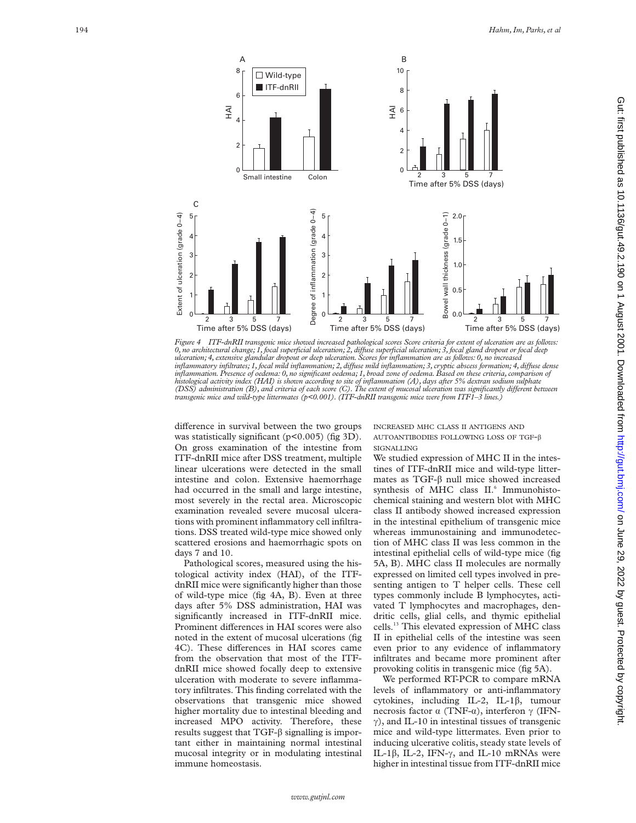

*Figure 4 ITF-dnRII transgenic mice showed increased pathological scores Score criteria for extent of ulceration are as follows: 0, no architectural change; 1, focal superficial ulceration; 2, diVuse superficial ulceration; 3, focal gland dropout or focal deep ulceration; 4, extensive glandular dropout or deep ulceration. Scores for inflammation are as follows: 0, no increased inflammatory infiltrates; 1, focal mild inflammation; 2, diVuse mild inflammation; 3, cryptic abscess formation; 4, diVuse dense inflammation. Presence of oedema: 0, no significant oedema; 1, broad zone of oedema. Based on these criteria, comparison of* histological activity index (HAI) is shown according to site of inflammation (A), days after 5% dextran sodium sulphate<br>(DSS) administration (B), and criteria of each score (C). The extent of mucosal ulceration was signifi *transgenic mice and wild-type littermates (p<0.001). (ITF-dnRII transgenic mice were from ITF1–3 lines.)*

difference in survival between the two groups was statistically significant (p<0.005) (fig 3D). On gross examination of the intestine from ITF-dnRII mice after DSS treatment, multiple linear ulcerations were detected in the small intestine and colon. Extensive haemorrhage had occurred in the small and large intestine, most severely in the rectal area. Microscopic examination revealed severe mucosal ulcerations with prominent inflammatory cell infiltrations. DSS treated wild-type mice showed only scattered erosions and haemorrhagic spots on days 7 and 10.

Pathological scores, measured using the histological activity index (HAI), of the ITFdnRII mice were significantly higher than those of wild-type mice (fig 4A, B). Even at three days after 5% DSS administration, HAI was significantly increased in ITF-dnRII mice. Prominent differences in HAI scores were also noted in the extent of mucosal ulcerations (fig 4C). These differences in HAI scores came from the observation that most of the ITFdnRII mice showed focally deep to extensive ulceration with moderate to severe inflammatory infiltrates. This finding correlated with the observations that transgenic mice showed higher mortality due to intestinal bleeding and increased MPO activity. Therefore, these results suggest that  $TGF-\beta$  signalling is important either in maintaining normal intestinal mucosal integrity or in modulating intestinal immune homeostasis.

INCREASED MHC CLASS II ANTIGENS AND AUTOANTIBODIES FOLLOWING LOSS OF TGF - â SIGNALLING

We studied expression of MHC II in the intestines of ITF-dnRII mice and wild-type littermates as TGF-â null mice showed increased synthesis of MHC class II. <sup>6</sup> Immunohistochemical staining and western blot with MHC class II antibody showed increased expression in the intestinal epithelium of transgenic mice whereas immunostaining and immunodetection of MHC class II was less common in the intestinal epithelial cells of wild-type mice (fig 5A, B). MHC class II molecules are normally expressed on limited cell types involved in presenting antigen to T helper cells. These cell types commonly include B lymphocytes, activated T lymphocytes and macrophages, dendritic cells, glial cells, and thymic epithelial cells.13 This elevated expression of MHC class II in epithelial cells of the intestine was seen even prior to any evidence of inflammatory infiltrates and became more prominent after provoking colitis in transgenic mice (fig 5A).

We performed RT-PCR to compare mRNA levels of inflammatory or anti-inflammatory cytokines, including IL-2, IL-1 â, tumour necrosis factor α (TNF-α), interferon γ (IFN- $\gamma$ ), and IL-10 in intestinal tissues of transgenic mice and wild-type littermates. Even prior to inducing ulcerative colitis, steady state levels of IL-1 $\beta$ , IL-2, IFN- $\gamma$ , and IL-10 mRNAs were higher in intestinal tissue from ITF-dnRII mice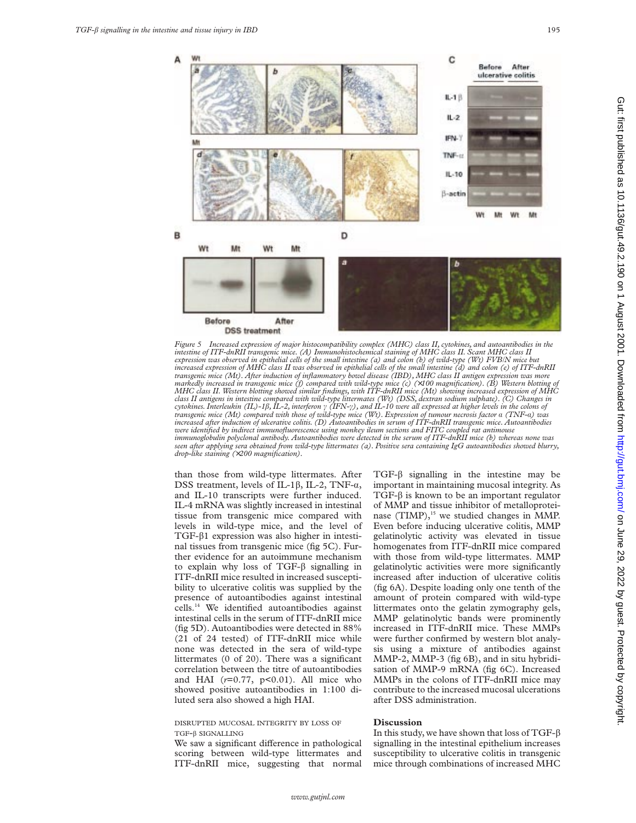A

в



Before After **DSS** treatment *Figure 5 Increased expression of major histocompatibility complex (MHC) class II, cytokines, and autoantibodies in the*

*intestine of ITF-dnRII transgenic mice. (A) Immunohistochemical staining of MHC class II. Scant MHC class II expression was observed in epithelial cells of the small intestine (a) and colon (b) of wild-type (Wt) FVB/N mice but increased expression of MHC class II was observed in epithelial cells of the small intestine (d) and colon (e) of ITF-dnRII transgenic mice (Mt). After induction of inflammatory bowel disease (IBD), MHC class II antigen expression was more markedly increased in transgenic mice (f) compared with wild-type mice (c) (*×*100 magnification). (B) Western blotting of MHC class II. Western blotting showed similar findings, with ITF-dnRII mice (Mt) showing increased expression of MHC* class II antigens in intestine compared with wild-type littermates (Wt) (DSS, dextran sodium sulphate). (C) Changes in<br>cytokines. Interleukin (IL)-1ß, IL-2, interferon γ (IFN-γ), and IL-10 were all expressed at higher leve *increased after induction of ulcerative colitis. (D) Autoantibodies in serum of ITF-dnRII transgenic mice. Autoantibodies were identified by indirect immunofluorescence using monkey ileum sections and FITC coupled rat antimouse immunoglobulin polyclonal antibody. Autoantibodies were detected in the serum of ITF-dnRII mice (b) whereas none was seen after applying sera obtained from wild-type littermates (a). Positive sera containing IgG autoantibodies showed blurry, drop-like staining (*×*200 magnification).*

than those from wild-type littermates. After DSS treatment, levels of IL-1 $\beta$ , IL-2, TNF- $\alpha$ , and IL-10 transcripts were further induced. IL-4 mRNA was slightly increased in intestinal tissue from transgenic mice compared with levels in wild-type mice, and the level of TGF- $\beta$ 1 expression was also higher in intestinal tissues from transgenic mice (fig 5C). Further evidence for an autoimmune mechanism to explain why loss of  $TGF-\beta$  signalling in ITF-dnRII mice resulted in increased susceptibility to ulcerative colitis was supplied by the presence of autoantibodies against intestinal cells.14 We identified autoantibodies against intestinal cells in the serum of ITF-dnRII mice (fig 5D). Autoantibodies were detected in 88% (21 of 24 tested) of ITF-dnRII mice while none was detected in the sera of wild-type littermates (0 of 20). There was a significant correlation between the titre of autoantibodies and HAI (*r*=0.77, p<0.01). All mice who showed positive autoantibodies in 1:100 diluted sera also showed a high HAI.

#### DISRUPTED MUCOSAL INTEGRITY BY LOSS OF TGF-â SIGNALLING

We saw a significant difference in pathological scoring between wild-type littermates and ITF-dnRII mice, suggesting that normal

 $TGF- $\beta$  signalling in the intestine may be$ important in maintaining mucosal integrity. As TGF-â is known to be an important regulator of MMP and tissue inhibitor of metalloproteinase (TIMP),<sup>15</sup> we studied changes in MMP. Even before inducing ulcerative colitis, MMP gelatinolytic activity was elevated in tissue homogenates from ITF-dnRII mice compared with those from wild-type littermates. MMP gelatinolytic activities were more significantly increased after induction of ulcerative colitis (fig 6A). Despite loading only one tenth of the amount of protein compared with wild-type littermates onto the gelatin zymography gels, MMP gelatinolytic bands were prominently increased in ITF-dnRII mice. These MMPs were further confirmed by western blot analysis using a mixture of antibodies against MMP-2, MMP-3 (fig 6B), and in situ hybridisation of MMP-9 mRNA (fig 6C). Increased MMPs in the colons of ITF-dnRII mice may contribute to the increased mucosal ulcerations after DSS administration.

# **Discussion**

In this study, we have shown that loss of TGF- $\beta$ signalling in the intestinal epithelium increases susceptibility to ulcerative colitis in transgenic mice through combinations of increased MHC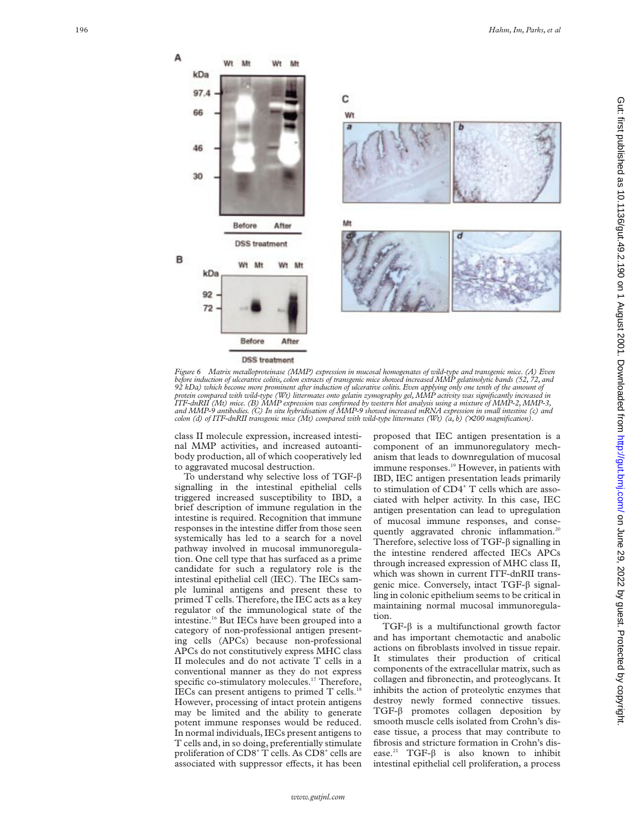A

в



**DSS** treatment

*Figure 6 Matrix metalloproteinase (MMP) expression in mucosal homogenates of wild-type and transgenic mice. (A) Even* before induction of ulcerative colitis, colon extracts of transgenic mice showed increased MMP gelatinolytic bands (52, 72, and<br>92 kDa) which become more prominent after induction of ulcerative colitis. Even applying only *protein compared with wild-type (Wt) littermates onto gelatin zymography gel,MMP activity was significantly increased in ITF-dnRII (Mt) mice. (B) MMP expression was confirmed by western blot analysis using a mixture of MMP-2,MMP-3, and MMP-9 antibodies. (C) In situ hybridisation of MMP-9 showed increased mRNA expression in small intestine (c) and colon (d) of ITF-dnRII transgenic mice (Mt) compared with wild-type littermates (Wt) (a, b) (*×*200 magnification).*

class II molecule expression, increased intestinal MMP activities, and increased autoantibody production, all of which cooperatively led to aggravated mucosal destruction.

To understand why selective loss of TGF- $\beta$ signalling in the intestinal epithelial cells triggered increased susceptibility to IBD, a brief description of immune regulation in the intestine is required. Recognition that immune responses in the intestine differ from those seen systemically has led to a search for a novel pathway involved in mucosal immunoregulation. One cell type that has surfaced as a prime candidate for such a regulatory role is the intestinal epithelial cell (IEC). The IECs sample luminal antigens and present these to primed T cells. Therefore, the IEC acts as a key regulator of the immunological state of the intestine.16 But IECs have been grouped into a category of non-professional antigen presenting cells (APCs) because non-professional APCs do not constitutively express MHC class II molecules and do not activate T cells in a conventional manner as they do not express specific co-stimulatory molecules.<sup>17</sup> Therefore, IECs can present antigens to primed T cells.<sup>1</sup> However, processing of intact protein antigens may be limited and the ability to generate potent immune responses would be reduced. In normal individuals, IECs present antigens to T cells and, in so doing, preferentially stimulate proliferation of CD8<sup>+</sup> T cells. As CD8<sup>+</sup> cells are associated with suppressor effects, it has been

proposed that IEC antigen presentation is a component of an immunoregulatory mechanism that leads to downregulation of mucosal immune responses.<sup>19</sup> However, in patients with IBD, IEC antigen presentation leads primarily to stimulation of CD4<sup>+</sup> T cells which are associated with helper activity. In this case, IEC antigen presentation can lead to upregulation of mucosal immune responses, and consequently aggravated chronic inflammation.<sup>20</sup> Therefore, selective loss of  $TGF-\beta$  signalling in the intestine rendered affected IECs APCs through increased expression of MHC class II, which was shown in current ITF-dnRII transgenic mice. Conversely, intact TGF-â signalling in colonic epithelium seems to be critical in maintaining normal mucosal immunoregulation.

TGF-â is a multifunctional growth factor and has important chemotactic and anabolic actions on fibroblasts involved in tissue repair. It stimulates their production of critical components of the extracellular matrix, such as collagen and fibronectin, and proteoglycans. It inhibits the action of proteolytic enzymes that destroy newly formed connective tissues. TGF-â promotes collagen deposition by smooth muscle cells isolated from Crohn's disease tissue, a process that may contribute to fibrosis and stricture formation in Crohn's disease.<sup>21</sup> TGF- $\beta$  is also known to inhibit intestinal epithelial cell proliferation, a process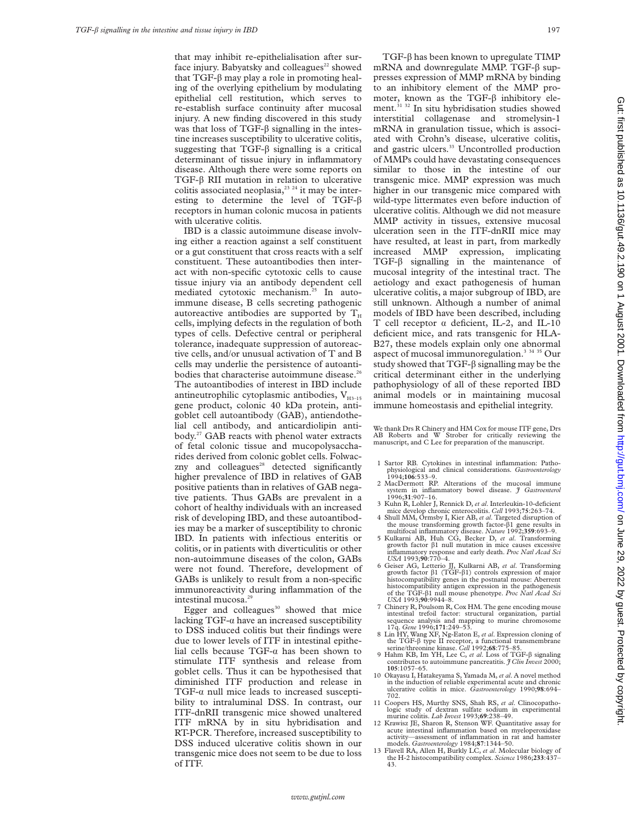that may inhibit re-epithelialisation after surface injury. Babyatsky and colleagues $22$  showed that TGF- $\beta$  may play a role in promoting healing of the overlying epithelium by modulating epithelial cell restitution, which serves to re-establish surface continuity after mucosal injury. A new finding discovered in this study was that loss of  $TGF-\beta$  signalling in the intestine increases susceptibility to ulcerative colitis, suggesting that TGF- $\beta$  signalling is a critical determinant of tissue injury in inflammatory disease. Although there were some reports on TGF-â RII mutation in relation to ulcerative colitis associated neoplasia, $^{23}$   $^{24}$  it may be interesting to determine the level of TGF- $\beta$ receptors in human colonic mucosa in patients with ulcerative colitis.

IBD is a classic autoimmune disease involving either a reaction against a self constituent or a gut constituent that cross reacts with a self constituent. These autoantibodies then interact with non-specific cytotoxic cells to cause tissue injury via an antibody dependent cell mediated cytotoxic mechanism.25 In autoimmune disease, B cells secreting pathogenic autoreactive antibodies are supported by  $\rm T_H$ cells, implying defects in the regulation of both types of cells. Defective central or peripheral tolerance, inadequate suppression of autoreactive cells, and/or unusual activation of T and B cells may underlie the persistence of autoantibodies that characterise autoimmune disease.<sup>26</sup> The autoantibodies of interest in IBD include antineutrophilic cytoplasmic antibodies,  $V_{H3-15}$ gene product, colonic 40 kDa protein, antigoblet cell autoantibody (GAB), antiendothelial cell antibody, and anticardiolipin antibody.27 GAB reacts with phenol water extracts of fetal colonic tissue and mucopolysaccharides derived from colonic goblet cells. Folwaczny and colleagues $^{28}$  detected significantly higher prevalence of IBD in relatives of GAB positive patients than in relatives of GAB negative patients. Thus GABs are prevalent in a cohort of healthy individuals with an increased risk of developing IBD, and these autoantibodies may be a marker of susceptibility to chronic IBD. In patients with infectious enteritis or colitis, or in patients with diverticulitis or other non-autoimmune diseases of the colon, GABs were not found. Therefore, development of GABs is unlikely to result from a non-specific immunoreactivity during inflammation of the intestinal mucosa.29

Egger and colleagues $30$  showed that mice lacking  $TGF-\alpha$  have an increased susceptibility to DSS induced colitis but their findings were due to lower levels of ITF in intestinal epithelial cells because TGF- $\alpha$  has been shown to stimulate ITF synthesis and release from goblet cells. Thus it can be hypothesised that diminished ITF production and release in TGF- $\alpha$  null mice leads to increased susceptibility to intraluminal DSS. In contrast, our ITF-dnRII transgenic mice showed unaltered ITF mRNA by in situ hybridisation and RT-PCR. Therefore, increased susceptibility to DSS induced ulcerative colitis shown in our transgenic mice does not seem to be due to loss of ITF.

 $TGF-\beta$  has been known to upregulate  $TIMP$ mRNA and downregulate MMP. TGF- $\beta$  suppresses expression of MMP mRNA by binding to an inhibitory element of the MMP promoter, known as the TGF- $\beta$  inhibitory element.<sup>31 32</sup> In situ hybridisation studies showed interstitial collagenase and stromelysin-1 mRNA in granulation tissue, which is associated with Crohn's disease, ulcerative colitis, and gastric ulcers.<sup>33</sup> Uncontrolled production of MMPs could have devastating consequences similar to those in the intestine of our transgenic mice. MMP expression was much higher in our transgenic mice compared with wild-type littermates even before induction of ulcerative colitis. Although we did not measure MMP activity in tissues, extensive mucosal ulceration seen in the ITF-dnRII mice may have resulted, at least in part, from markedly increased MMP expression, implicating  $TGF-\beta$  signalling in the maintenance of mucosal integrity of the intestinal tract. The aetiology and exact pathogenesis of human ulcerative colitis, a major subgroup of IBD, are still unknown. Although a number of animal models of IBD have been described, including T cell receptor  $\alpha$  deficient, IL-2, and IL-10 deficient mice, and rats transgenic for HLA-B27, these models explain only one abnormal aspect of mucosal immunoregulation.3 34 35 Our study showed that TGF- $\beta$  signalling may be the critical determinant either in the underlying pathophysiology of all of these reported IBD animal models or in maintaining mucosal immune homeostasis and epithelial integrity.

We thank Drs R Chinery and HM Cox for mouse ITF gene, Drs AB Roberts and W Strober for critically reviewing the manuscript, and C Lee for preparation of the manuscript.

- 1 Sartor RB. Cytokines in intestinal inflammation: Pathophysiological and clinical considerations. *Gastroenterology* 1994;**106**:533–9.
- 2 MacDermott RP. Alterations of the mucosal immune system in inflammatory bowel disease. *J Gastroenterol*
- 1996;**31**:907–16. 3 Kuhn R, Lohler J, Rennick D, *et al*. Interleukin-10-deficient mice develop chronic enterocolitis. *Cell* 1993;**75**:263–74. 4 Shull MM, Ormsby I, Kier AB, *et al*. Targeted disruption of the mouse transforming growth factor-â1 gene results in
- multifocal inflammatory disease. *Nature* 1992;**359**:693–9. 5 Kulkarni AB, Huh CG, Becker D, *et al*. Transforming growth factor â1 null mutation in mice causes excessive inflammatory response and early death. *Proc Natl Acad Sci USA* 1993;**90**:770–4.
- 6 Geiser AG, Letterio JJ, Kulkarni AB, *et al*. Transforming growth factor â1 (TGF-â1) controls expression of major histocompatibility genes in the postnatal mouse: Aberrent histocompatibility antigen expression in the pathogenesis of the TGF-â1 null mouse phenotype. *Proc Natl Acad Sci USA* 1993;**90**:9944–8.
- 7 Chinery R, Poulsom R, Cox HM. The gene encoding mouse intestinal trefoil factor: structural organization, partial sequence analysis and mapping to murine chromosome 17q. *Gene* 1996;**171**:249–53.
- 8 Lin HY, Wang XF, Ng-Eaton E, *et al*. Expression cloning of the TGF-â type II receptor, a functional transmembrane serine/threonine kinase. *Cell* 1992;**68**:775–85.
- 9 Hahm KB, Im YH, Lee C, *et al*. Loss of TGF-â signaling contributes to autoimmune pancreatitis. *J Clin Invest* 2000; **105**:1057–65.
- 10 Okayasu I, Hatakeyama S, Yamada M, *et al*. A novel method in the induction of reliable experimental acute and chronic ulcerative colitis in mice. *Gastroenterology* 1990;**98**:694– 702.
- 11 Coopers HS, Murthy SNS, Shah RS, *et al*. Clinocopathologic study of dextran sulfate sodium in experimental murine colitis. *Lab Invest* 1993;**69**:238–49.
- 12 Krawisz JE, Sharon R, Stenson WF. Quantitative assay for acute intestinal inflammation based on myeloperoxidase activity—assessment of inflammation in rat and hamster models. *Gastroenterology* 1984;**87**:1344–50.
- 13 Flavell RA, Allen H, Burkly LC, *et al*. Molecular biology of the H-2 histocompatibility complex. *Science* 1986;**233**:437– 43.